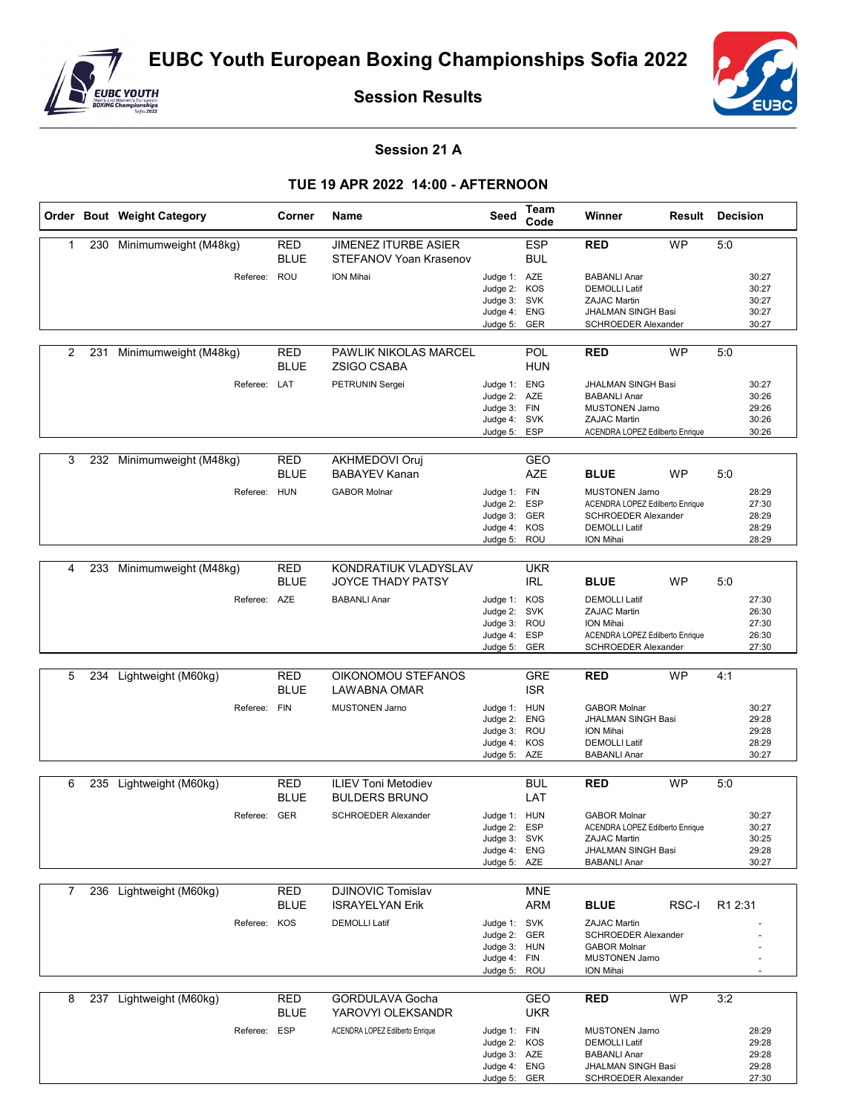

**Session Results**



## **Session 21 A**

## **TUE 19 APR 2022 14:00 - AFTERNOON**

|   |     | Order Bout Weight Category | Corner                    | Name                                                  | Seed                                                                         | Team<br>Code             | Winner                                                                                                                              |           | <b>Result Decision</b>                    |
|---|-----|----------------------------|---------------------------|-------------------------------------------------------|------------------------------------------------------------------------------|--------------------------|-------------------------------------------------------------------------------------------------------------------------------------|-----------|-------------------------------------------|
| 1 | 230 | Minimumweight (M48kg)      | RED<br><b>BLUE</b>        | <b>JIMENEZ ITURBE ASIER</b><br>STEFANOV Yoan Krasenov |                                                                              | <b>ESP</b><br>BUL        | <b>RED</b>                                                                                                                          | <b>WP</b> | 5:0                                       |
|   |     | Referee: ROU               |                           | ION Mihai                                             | Judge 1: AZE<br>Judge 2: KOS<br>Judge 3: SVK<br>Judge 4: ENG<br>Judge 5: GER |                          | <b>BABANLI Anar</b><br><b>DEMOLLI Latif</b><br><b>ZAJAC Martin</b><br><b>JHALMAN SINGH Basi</b><br>SCHROEDER Alexander              |           | 30:27<br>30:27<br>30:27<br>30:27<br>30:27 |
| 2 |     | 231 Minimumweight (M48kg)  | RED<br><b>BLUE</b>        | <b>PAWLIK NIKOLAS MARCEL</b><br><b>ZSIGO CSABA</b>    |                                                                              | POL<br><b>HUN</b>        | <b>RED</b>                                                                                                                          | <b>WP</b> | 5:0                                       |
|   |     | Referee: LAT               |                           | PETRUNIN Sergei                                       | Judge 1: ENG<br>Judge 2: AZE<br>Judge 3: FIN<br>Judge 4: SVK<br>Judge 5:     | ESP                      | <b>JHALMAN SINGH Basi</b><br><b>BABANLI Anar</b><br><b>MUSTONEN Jarno</b><br><b>ZAJAC Martin</b><br>ACENDRA LOPEZ Edilberto Enrique |           | 30:27<br>30:26<br>29:26<br>30:26<br>30:26 |
| 3 | 232 | Minimumweight (M48kg)      | RED<br><b>BLUE</b>        | <b>AKHMEDOVI Oruj</b><br><b>BABAYEV Kanan</b>         |                                                                              | GEO<br><b>AZE</b>        | <b>BLUE</b>                                                                                                                         | <b>WP</b> | 5:0                                       |
|   |     | Referee: HUN               |                           | <b>GABOR Molnar</b>                                   | Judge 1: FIN<br>Judge 2: ESP<br>Judge 3: GER<br>Judge 4: KOS<br>Judge 5: ROU |                          | <b>MUSTONEN Jarno</b><br>ACENDRA LOPEZ Edilberto Enrique<br><b>SCHROEDER Alexander</b><br><b>DEMOLLI Latif</b><br>ION Mihai         |           | 28:29<br>27:30<br>28:29<br>28:29<br>28:29 |
| 4 |     | 233 Minimumweight (M48kg)  | <b>RED</b><br><b>BLUE</b> | KONDRATIUK VLADYSLAV<br>JOYCE THADY PATSY             |                                                                              | <b>UKR</b><br>IRL        | <b>BLUE</b>                                                                                                                         | <b>WP</b> | 5:0                                       |
|   |     | Referee: AZE               |                           | <b>BABANLI Anar</b>                                   | Judge 1: KOS<br>Judge 2: SVK<br>Judge 3: ROU<br>Judge 4: ESP<br>Judge 5: GER |                          | <b>DEMOLLI Latif</b><br><b>ZAJAC Martin</b><br>ION Mihai<br>ACENDRA LOPEZ Edilberto Enrique<br>SCHROEDER Alexander                  |           | 27:30<br>26:30<br>27:30<br>26:30<br>27:30 |
|   |     |                            |                           |                                                       |                                                                              |                          |                                                                                                                                     |           |                                           |
| 5 | 234 | Lightweight (M60kg)        | <b>RED</b><br>BLUE        | OIKONOMOU STEFANOS<br>LAWABNA OMAR                    |                                                                              | <b>GRE</b><br><b>ISR</b> | <b>RED</b>                                                                                                                          | <b>WP</b> | 4:1                                       |
|   |     | Referee:                   | <b>FIN</b>                | <b>MUSTONEN Jarno</b>                                 | Judge 1: HUN<br>Judge 2: ENG<br>Judge 3: ROU<br>Judge 4: KOS<br>Judge 5: AZE |                          | <b>GABOR Molnar</b><br>JHALMAN SINGH Basi<br>ION Mihai<br><b>DEMOLLI Latif</b><br><b>BABANLI Anar</b>                               |           | 30:27<br>29:28<br>29:28<br>28:29<br>30:27 |
|   |     |                            |                           |                                                       |                                                                              |                          |                                                                                                                                     |           |                                           |
| 6 |     | 235 Lightweight (M60kg)    | RED<br><b>BLUE</b>        | <b>ILIEV Toni Metodiev</b><br><b>BULDERS BRUNO</b>    |                                                                              | BUL<br>LAT               | <b>RED</b>                                                                                                                          | <b>WP</b> | 5:0                                       |
|   |     | Referee: GER               |                           | <b>SCHROEDER Alexander</b>                            | Judge 1: HUN<br>Judge 2: ESP<br>Judge 3: SVK<br>Judge 4: ENG<br>Judge 5: AZE |                          | <b>GABOR Molnar</b><br>ACENDRA LOPEZ Edilberto Enrique<br>ZAJAC Martin<br>JHALMAN SINGH Basi<br><b>BABANLI Anar</b>                 |           | 30:27<br>30:27<br>30:25<br>29:28<br>30:27 |
| 7 |     | 236 Lightweight (M60kg)    | <b>RED</b>                | <b>DJINOVIC Tomislav</b>                              |                                                                              | <b>MNE</b>               |                                                                                                                                     |           |                                           |
|   |     |                            | BLUE                      | <b>ISRAYELYAN Erik</b>                                |                                                                              | ARM                      | <b>BLUE</b>                                                                                                                         | RSC-I     | R1 2:31                                   |
|   |     | Referee: KOS               |                           | <b>DEMOLLI Latif</b>                                  | Judge 1: SVK<br>Judge 2: GER<br>Judge 3: HUN<br>Judge 4: FIN<br>Judge 5: ROU |                          | <b>ZAJAC Martin</b><br>SCHROEDER Alexander<br><b>GABOR Molnar</b><br><b>MUSTONEN Jarno</b><br>ION Mihai                             |           |                                           |
| 8 |     | 237 Lightweight (M60kg)    | <b>RED</b>                | <b>GORDULAVA Gocha</b>                                |                                                                              | GEO                      | <b>RED</b>                                                                                                                          | <b>WP</b> | 3:2                                       |
|   |     | Referee: ESP               | <b>BLUE</b>               | YAROVYI OLEKSANDR<br>ACENDRA LOPEZ Edilberto Enrique  | Judge 1: FIN<br>Judge 2: KOS<br>Judge 3: AZE<br>Judge 4: ENG<br>Judge 5: GER | UKR                      | <b>MUSTONEN Jarno</b><br><b>DEMOLLI Latif</b><br><b>BABANLI Anar</b><br>JHALMAN SINGH Basi<br>SCHROEDER Alexander                   |           | 28:29<br>29:28<br>29:28<br>29:28<br>27:30 |